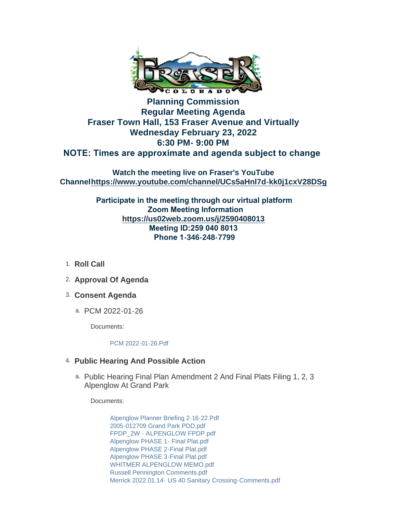

## **Planning Commission Regular Meeting Agenda Fraser Town Hall, 153 Fraser Avenue and Virtually Wednesday February 23, 2022 6:30 PM- 9:00 PM NOTE: Times are approximate and agenda subject to change**

**Watch the meeting live on Fraser's YouTube Channel<https://www.youtube.com/channel/UCs5aHnl7d-kk0j1cxV28DSg>**

> **Participate in the meeting through our virtual platform Zoom Meeting Information <https://us02web.zoom.us/j/2590408013> Meeting ID:259 040 8013 Phone 1-346-248-7799**

- 1. Roll Call
- **Approval Of Agenda** 2.
- **Consent Agenda** 3.
	- PCM 2022-01-26 a.

Documents:

[PCM 2022-01-26.Pdf](https://www.frasercolorado.com/AgendaCenter/ViewFile/Item/3863?fileID=3444)

## **Public Hearing And Possible Action** 4.

a. Public Hearing Final Plan Amendment 2 And Final Plats Filing 1, 2, 3 Alpenglow At Grand Park

Documents:

[Alpenglow Planner Briefing 2-16-22.Pdf](https://www.frasercolorado.com/AgendaCenter/ViewFile/Item/3864?fileID=3453) [2005-012709 Grand Park PDD.pdf](https://www.frasercolorado.com/AgendaCenter/ViewFile/Item/3864?fileID=3445) [FPDP\\_2W - ALPENGLOW FPDP.pdf](https://www.frasercolorado.com/AgendaCenter/ViewFile/Item/3864?fileID=3456) [Alpenglow PHASE 1- Final Plat.pdf](https://www.frasercolorado.com/AgendaCenter/ViewFile/Item/3864?fileID=3450) [Alpenglow PHASE 2-Final Plat.pdf](https://www.frasercolorado.com/AgendaCenter/ViewFile/Item/3864?fileID=3451) [Alpenglow PHASE 3-Final Plat.pdf](https://www.frasercolorado.com/AgendaCenter/ViewFile/Item/3864?fileID=3452) [WHITMER ALPENGLOW MEMO.pdf](https://www.frasercolorado.com/AgendaCenter/ViewFile/Item/3864?fileID=3466) [Russell Pennington Comments.pdf](https://www.frasercolorado.com/AgendaCenter/ViewFile/Item/3864?fileID=3463) [Merrick 2022.01.14- US 40 Sanitary Crossing-Comments.pdf](https://www.frasercolorado.com/AgendaCenter/ViewFile/Item/3864?fileID=3457)